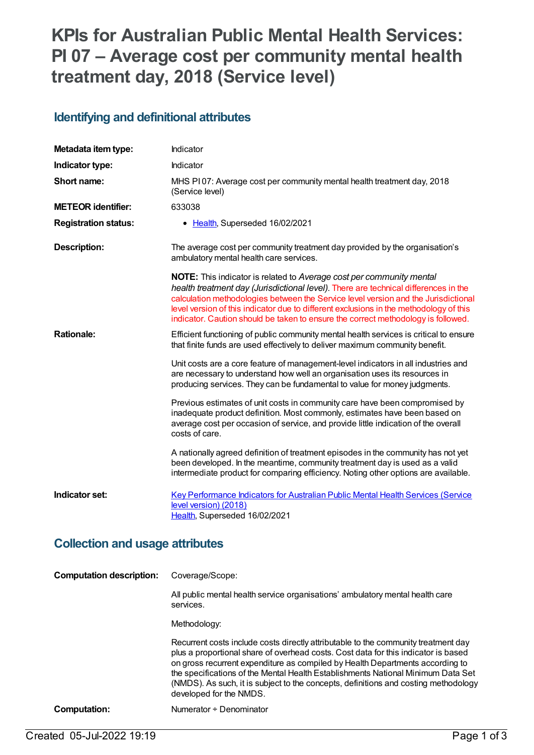# **KPIs for Australian Public Mental Health Services: PI 07 – Average cost per community mental health treatment day, 2018 (Service level)**

#### **Identifying and definitional attributes**

| Metadata item type:                    | Indicator                                                                                                                                                                                                                                                                                                                                                                                                                               |  |
|----------------------------------------|-----------------------------------------------------------------------------------------------------------------------------------------------------------------------------------------------------------------------------------------------------------------------------------------------------------------------------------------------------------------------------------------------------------------------------------------|--|
| Indicator type:                        | Indicator                                                                                                                                                                                                                                                                                                                                                                                                                               |  |
| Short name:                            | MHS PI07: Average cost per community mental health treatment day, 2018<br>(Service level)                                                                                                                                                                                                                                                                                                                                               |  |
| <b>METEOR identifier:</b>              | 633038                                                                                                                                                                                                                                                                                                                                                                                                                                  |  |
| <b>Registration status:</b>            | • Health, Superseded 16/02/2021                                                                                                                                                                                                                                                                                                                                                                                                         |  |
| <b>Description:</b>                    | The average cost per community treatment day provided by the organisation's<br>ambulatory mental health care services.                                                                                                                                                                                                                                                                                                                  |  |
|                                        | <b>NOTE:</b> This indicator is related to Average cost per community mental<br>health treatment day (Jurisdictional level). There are technical differences in the<br>calculation methodologies between the Service level version and the Jurisdictional<br>level version of this indicator due to different exclusions in the methodology of this<br>indicator. Caution should be taken to ensure the correct methodology is followed. |  |
| <b>Rationale:</b>                      | Efficient functioning of public community mental health services is critical to ensure<br>that finite funds are used effectively to deliver maximum community benefit.                                                                                                                                                                                                                                                                  |  |
|                                        | Unit costs are a core feature of management-level indicators in all industries and<br>are necessary to understand how well an organisation uses its resources in<br>producing services. They can be fundamental to value for money judgments.                                                                                                                                                                                           |  |
|                                        | Previous estimates of unit costs in community care have been compromised by<br>inadequate product definition. Most commonly, estimates have been based on<br>average cost per occasion of service, and provide little indication of the overall<br>costs of care.                                                                                                                                                                       |  |
|                                        | A nationally agreed definition of treatment episodes in the community has not yet<br>been developed. In the meantime, community treatment day is used as a valid<br>intermediate product for comparing efficiency. Noting other options are available.                                                                                                                                                                                  |  |
| Indicator set:                         | <b>Key Performance Indicators for Australian Public Mental Health Services (Service</b><br>level version) (2018)<br>Health, Superseded 16/02/2021                                                                                                                                                                                                                                                                                       |  |
| <b>Collection and usage attributes</b> |                                                                                                                                                                                                                                                                                                                                                                                                                                         |  |
| <b>Computation description:</b>        | Coverage/Scope:                                                                                                                                                                                                                                                                                                                                                                                                                         |  |
|                                        | All public mental health service organisations' ambulatory mental health care<br>services.                                                                                                                                                                                                                                                                                                                                              |  |
|                                        | Methodology:                                                                                                                                                                                                                                                                                                                                                                                                                            |  |
|                                        | Recurrent costs include costs directly attributable to the community treatment day<br>plus a proportional share of overhead costs. Cost data for this indicator is based<br>on gross recurrent expenditure as compiled by Health Departments according to                                                                                                                                                                               |  |

the specifications of the Mental Health Establishments National Minimum Data Set (NMDS). As such, it is subject to the concepts, definitions and costing methodology developed for the NMDS.

**Computation:** Numerator ÷ Denominator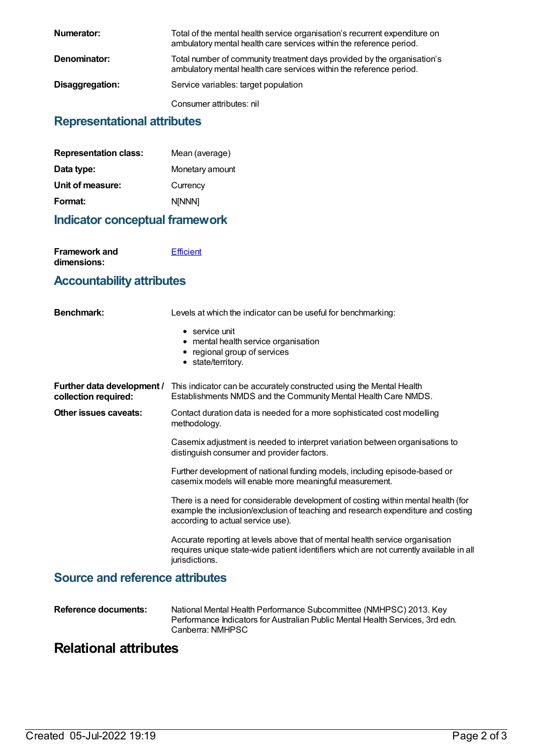| Numerator:      | Total of the mental health service organisation's recurrent expenditure on<br>ambulatory mental health care services within the reference period. |
|-----------------|---------------------------------------------------------------------------------------------------------------------------------------------------|
| Denominator:    | Total number of community treatment days provided by the organisation's<br>ambulatory mental health care services within the reference period.    |
| Disaggregation: | Service variables: target population                                                                                                              |
|                 | Consumer attributes: nil                                                                                                                          |

### **Representational attributes**

| <b>Representation class:</b> | Mean (average)  |
|------------------------------|-----------------|
| Data type:                   | Monetary amount |
| Unit of measure:             | Currency        |
| Format:                      | <b>N[NNN]</b>   |
|                              |                 |

### **Indicator conceptual framework**

| Framework and | <b>Efficient</b> |
|---------------|------------------|
| dimensions:   |                  |

#### **Accountability attributes**

| Benchmark:                                         | Levels at which the indicator can be useful for benchmarking:                                                                                                                                              |
|----------------------------------------------------|------------------------------------------------------------------------------------------------------------------------------------------------------------------------------------------------------------|
|                                                    | $\bullet$ service unit<br>• mental health service organisation<br>• regional group of services<br>• state/territory.                                                                                       |
| Further data development /<br>collection required: | This indicator can be accurately constructed using the Mental Health<br>Establishments NMDS and the Community Mental Health Care NMDS.                                                                     |
| Other issues caveats:                              | Contact duration data is needed for a more sophisticated cost modelling<br>methodology.                                                                                                                    |
|                                                    | Casemix adjustment is needed to interpret variation between organisations to<br>distinguish consumer and provider factors.                                                                                 |
|                                                    | Further development of national funding models, including episode-based or<br>casemix models will enable more meaningful measurement.                                                                      |
|                                                    | There is a need for considerable development of costing within mental health (for<br>example the inclusion/exclusion of teaching and research expenditure and costing<br>according to actual service use). |
|                                                    | Accurate reporting at levels above that of mental health service organisation<br>requires unique state-wide patient identifiers which are not currently available in all<br>jurisdictions.                 |
| <b>Source and reference attributes</b>             |                                                                                                                                                                                                            |

| Reference documents: | National Mental Health Performance Subcommittee (NMHPSC) 2013. Key<br>Performance Indicators for Australian Public Mental Health Services, 3rd edn. |
|----------------------|-----------------------------------------------------------------------------------------------------------------------------------------------------|
|                      | Canberra: NMHPSC                                                                                                                                    |

## **Relational attributes**